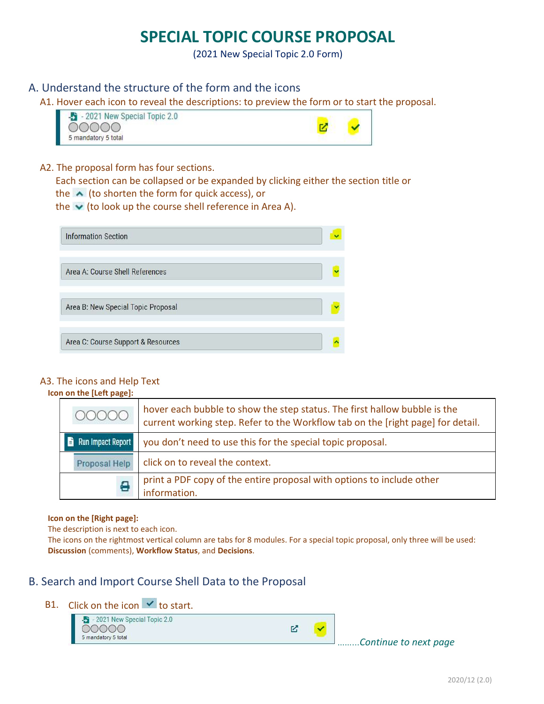# SPECIAL TOPIC COURSE PROPOSAL

(2021 New Special Topic 2.0 Form)

## A. Understand the structure of the form and the icons

A1. Hover each icon to reveal the descriptions: to preview the form or to start the proposal.





### A2. The proposal form has four sections.

Each section can be collapsed or be expanded by clicking either the section title or

the  $\triangle$  (to shorten the form for quick access), or

the  $\blacktriangleright$  (to look up the course shell reference in Area A).

| <b>Information Section</b>         |  |
|------------------------------------|--|
| Area A: Course Shell References    |  |
| Area B: New Special Topic Proposal |  |
| Area C: Course Support & Resources |  |

## A3. The icons and Help Text

#### Icon on the [Left page]:

| 00000                    | hover each bubble to show the step status. The first hallow bubble is the<br>current working step. Refer to the Workflow tab on the [right page] for detail. |
|--------------------------|--------------------------------------------------------------------------------------------------------------------------------------------------------------|
| <b>Run Impact Report</b> | you don't need to use this for the special topic proposal.                                                                                                   |
| Proposal Help            | click on to reveal the context.                                                                                                                              |
| e                        | print a PDF copy of the entire proposal with options to include other<br>information.                                                                        |

#### Icon on the [Right page]:

The description is next to each icon.

The icons on the rightmost vertical column are tabs for 8 modules. For a special topic proposal, only three will be used: Discussion (comments), Workflow Status, and Decisions.

## B. Search and Import Course Shell Data to the Proposal

## B1. Click on the icon  $\vee$  to start.

- 2021 New Special Topic 2.0 00000 5 mandatory 5 total

忆

……...Continue to next page